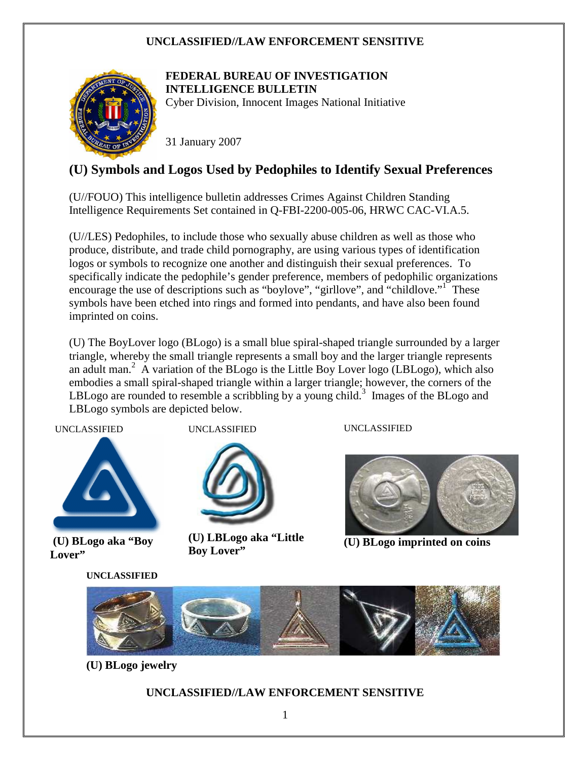

# **FEDERAL BUREAU OF INVESTIGATION INTELLIGENCE BULLETIN**

Cyber Division, Innocent Images National Initiative

31 January 2007

# **(U) Symbols and Logos Used by Pedophiles to Identify Sexual Preferences**

(U//FOUO) This intelligence bulletin addresses Crimes Against Children Standing Intelligence Requirements Set contained in Q-FBI-2200-005-06, HRWC CAC-VI.A.5.

(U//LES) Pedophiles, to include those who sexually abuse children as well as those who produce, distribute, and trade child pornography, are using various types of identification logos or symbols to recognize one another and distinguish their sexual preferences. To specifically indicate the pedophile's gender preference, members of pedophilic organizations encourage the use of descriptions such as "boylove", "girllove", and "childlove."<sup>1</sup> These symbols have been etched into rings and formed into pendants, and have also been found imprinted on coins.

(U) The BoyLover logo (BLogo) is a small blue spiral-shaped triangle surrounded by a larger triangle, whereby the small triangle represents a small boy and the larger triangle represents an adult man.<sup>2</sup> A variation of the BLogo is the Little Boy Lover logo (LBLogo), which also embodies a small spiral-shaped triangle within a larger triangle; however, the corners of the LBLogo are rounded to resemble a scribbling by a young child.<sup>3</sup> Images of the BLogo and LBLogo symbols are depicted below.

UNCLASSIFIED



 **Lover" (U) BLogo aka "Boy** 

**UNCLASSIFIED** 

UNCLASSIFIED



UNCLASSIFIED

**(U) LBLogo aka "Little Boy Lover"** 



**(U) BLogo imprinted on coins** 



**(U) BLogo jewelry**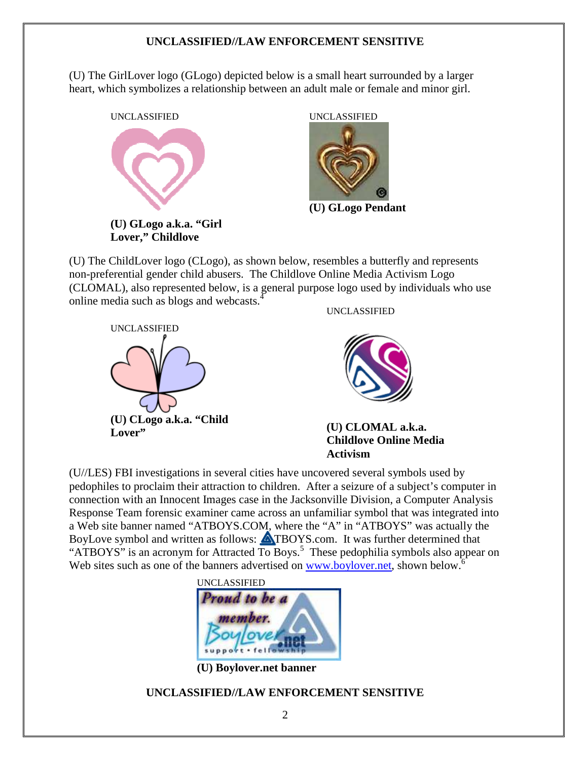(U) The GirlLover logo (GLogo) depicted below is a small heart surrounded by a larger heart, which symbolizes a relationship between an adult male or female and minor girl.





**(U) GLogo Pendant**

(U) The ChildLover logo (CLogo), as shown below, resembles a butterfly and represents non-preferential gender child abusers. The Childlove Online Media Activism Logo (CLOMAL), also represented below, is a general purpose logo used by individuals who use online media such as blogs and webcasts.<sup>4</sup>



UNCLASSIFIED



**(U) CLOMAL a.k.a. Childlove Online Media Activism** 

(U//LES) FBI investigations in several cities have uncovered several symbols used by pedophiles to proclaim their attraction to children. After a seizure of a subject's computer in connection with an Innocent Images case in the Jacksonville Division, a Computer Analysis Response Team forensic examiner came across an unfamiliar symbol that was integrated into a Web site banner named "ATBOYS.COM, where the "A" in "ATBOYS" was actually the BoyLove symbol and written as follows: **ATBOYS.com.** It was further determined that "ATBOYS" is an acronym for Attracted  $\overline{To}$  Boys.<sup>5</sup> These pedophilia symbols also appear on Web sites such as one of the banners advertised on www.boylover.net, shown below.<sup>6</sup>



**(U) Boylover.net banner**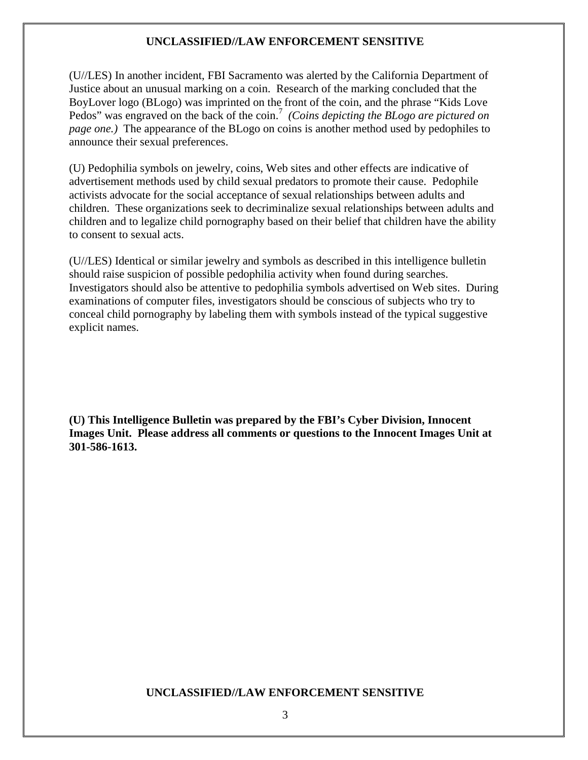(U//LES) In another incident, FBI Sacramento was alerted by the California Department of Justice about an unusual marking on a coin. Research of the marking concluded that the BoyLover logo (BLogo) was imprinted on the front of the coin, and the phrase "Kids Love Pedos" was engraved on the back of the coin.<sup>7</sup> (Coins depicting the BLogo are pictured on *page one.)* The appearance of the BLogo on coins is another method used by pedophiles to announce their sexual preferences.

(U) Pedophilia symbols on jewelry, coins, Web sites and other effects are indicative of advertisement methods used by child sexual predators to promote their cause. Pedophile activists advocate for the social acceptance of sexual relationships between adults and children. These organizations seek to decriminalize sexual relationships between adults and children and to legalize child pornography based on their belief that children have the ability to consent to sexual acts.

(U//LES) Identical or similar jewelry and symbols as described in this intelligence bulletin should raise suspicion of possible pedophilia activity when found during searches. Investigators should also be attentive to pedophilia symbols advertised on Web sites. During examinations of computer files, investigators should be conscious of subjects who try to conceal child pornography by labeling them with symbols instead of the typical suggestive explicit names.

**(U) This Intelligence Bulletin was prepared by the FBI's Cyber Division, Innocent Images Unit. Please address all comments or questions to the Innocent Images Unit at 301-586-1613.**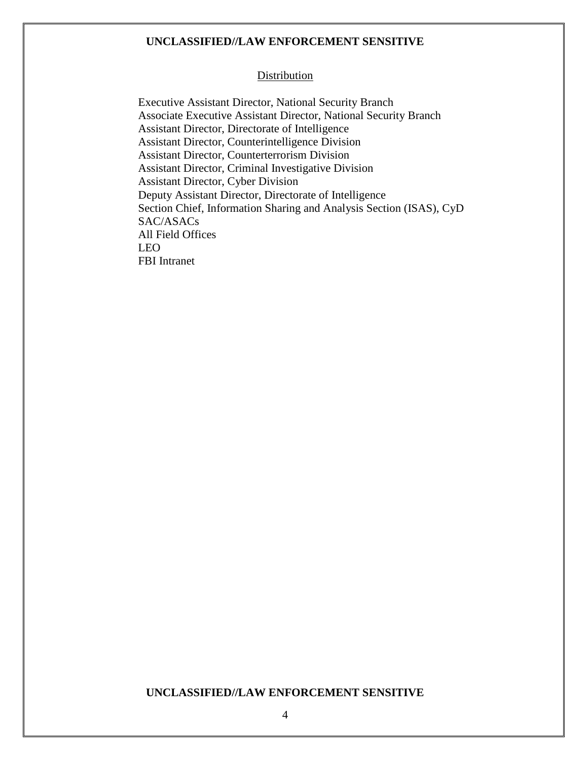#### Distribution

 Executive Assistant Director, National Security Branch Associate Executive Assistant Director, National Security Branch Assistant Director, Directorate of Intelligence Assistant Director, Counterintelligence Division Assistant Director, Counterterrorism Division Assistant Director, Criminal Investigative Division Assistant Director, Cyber Division Deputy Assistant Director, Directorate of Intelligence Section Chief, Information Sharing and Analysis Section (ISAS), CyD SAC/ASACs All Field Offices LEO FBI Intranet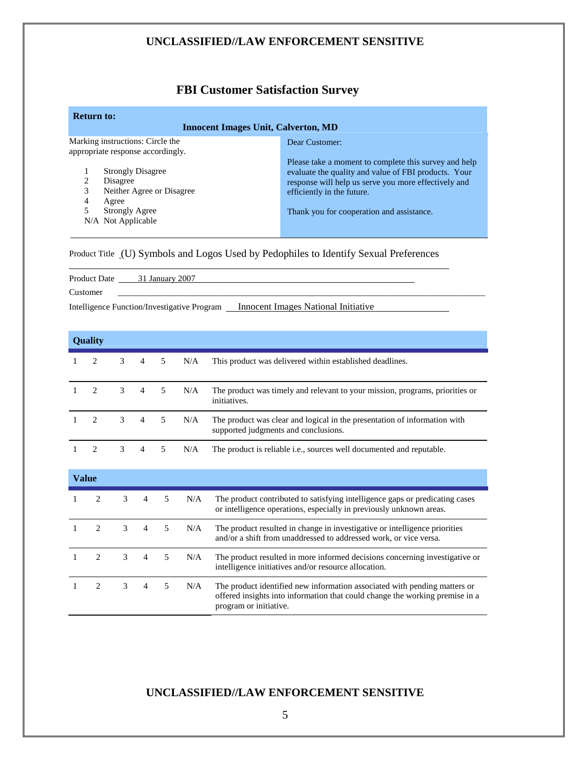# **FBI Customer Satisfaction Survey**

| <b>Return to:</b><br><b>Innocent Images Unit, Calverton, MD</b>                                                                                       |                                                                                                                                                                                                                                                  |
|-------------------------------------------------------------------------------------------------------------------------------------------------------|--------------------------------------------------------------------------------------------------------------------------------------------------------------------------------------------------------------------------------------------------|
| Marking instructions: Circle the<br>appropriate response accordingly.                                                                                 | Dear Customer:                                                                                                                                                                                                                                   |
| <b>Strongly Disagree</b><br>$\mathfrak{D}$<br>Disagree<br>3<br>Neither Agree or Disagree<br>4<br>Agree<br><b>Strongly Agree</b><br>N/A Not Applicable | Please take a moment to complete this survey and help<br>evaluate the quality and value of FBI products. Your<br>response will help us serve you more effectively and<br>efficiently in the future.<br>Thank you for cooperation and assistance. |

Product Title (U) Symbols and Logos Used by Pedophiles to Identify Sexual Preferences

|                                             | Product Date 31 January 2007 |                                     |  |
|---------------------------------------------|------------------------------|-------------------------------------|--|
| Customer                                    |                              |                                     |  |
| Intelligence Function/Investigative Program |                              | Innocent Images National Initiative |  |

| <b>Ouality</b> |                               |                |                |    |     |                                                                                                                   |
|----------------|-------------------------------|----------------|----------------|----|-----|-------------------------------------------------------------------------------------------------------------------|
|                | $\mathcal{L}$                 | 3              | 4              | 5  | N/A | This product was delivered within established deadlines.                                                          |
|                | $\mathcal{L}$                 | $\overline{3}$ | $\overline{4}$ | 5  | N/A | The product was timely and relevant to your mission, programs, priorities or<br>initiatives.                      |
|                | $\mathcal{L}$                 | $\mathcal{F}$  | 4              | -5 | N/A | The product was clear and logical in the presentation of information with<br>supported judgments and conclusions. |
|                | $\mathfrak{D}_{\mathfrak{p}}$ | 3              | 4              |    | N/A | The product is reliable <i>i.e.</i> , sources well documented and reputable.                                      |

| Value |  |   |                |   |     |                                                                                                                                                                                     |
|-------|--|---|----------------|---|-----|-------------------------------------------------------------------------------------------------------------------------------------------------------------------------------------|
|       |  | 3 | $\overline{4}$ | 5 | N/A | The product contributed to satisfying intelligence gaps or predicating cases<br>or intelligence operations, especially in previously unknown areas.                                 |
|       |  | 3 | $\overline{4}$ | 5 | N/A | The product resulted in change in investigative or intelligence priorities<br>and/or a shift from unaddressed to addressed work, or vice versa.                                     |
|       |  | 3 | 4              | 5 | N/A | The product resulted in more informed decisions concerning investigative or<br>intelligence initiatives and/or resource allocation.                                                 |
|       |  | 3 | 4              | 5 | N/A | The product identified new information associated with pending matters or<br>offered insights into information that could change the working premise in a<br>program or initiative. |